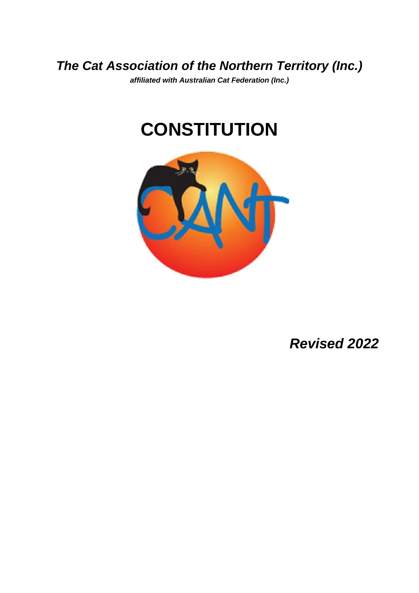*The Cat Association of the Northern Territory (Inc.)* 

*affiliated with Australian Cat Federation (Inc.)*

# **CONSTITUTION**



*Revised 2022*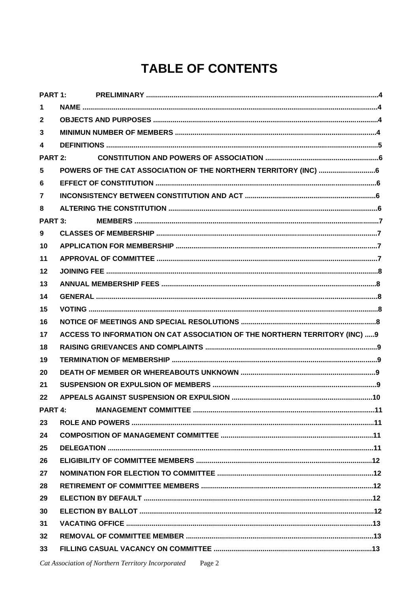# **TABLE OF CONTENTS**

| PART 1:      |  |                                                                            |  |  |
|--------------|--|----------------------------------------------------------------------------|--|--|
| 1            |  |                                                                            |  |  |
| $\mathbf{2}$ |  |                                                                            |  |  |
| 3            |  |                                                                            |  |  |
| 4            |  |                                                                            |  |  |
| PART 2:      |  |                                                                            |  |  |
| 5            |  |                                                                            |  |  |
| 6            |  |                                                                            |  |  |
| 7            |  |                                                                            |  |  |
| 8            |  |                                                                            |  |  |
| PART 3:      |  |                                                                            |  |  |
| 9            |  |                                                                            |  |  |
| 10           |  |                                                                            |  |  |
| 11           |  |                                                                            |  |  |
| 12           |  |                                                                            |  |  |
| 13           |  |                                                                            |  |  |
| 14           |  |                                                                            |  |  |
| 15           |  |                                                                            |  |  |
| 16           |  |                                                                            |  |  |
|              |  |                                                                            |  |  |
| 17           |  | ACCESS TO INFORMATION ON CAT ASSOCIATION OF THE NORTHERN TERRITORY (INC) 9 |  |  |
| 18           |  |                                                                            |  |  |
| 19           |  |                                                                            |  |  |
| 20           |  |                                                                            |  |  |
| 21           |  |                                                                            |  |  |
| 22           |  |                                                                            |  |  |
| PART 4:      |  |                                                                            |  |  |
| 23           |  |                                                                            |  |  |
| 24           |  |                                                                            |  |  |
| 25           |  |                                                                            |  |  |
| 26           |  |                                                                            |  |  |
| 27           |  |                                                                            |  |  |
| 28           |  |                                                                            |  |  |
| 29           |  |                                                                            |  |  |
| 30           |  |                                                                            |  |  |
| 31           |  |                                                                            |  |  |
| 32           |  |                                                                            |  |  |
| 33           |  |                                                                            |  |  |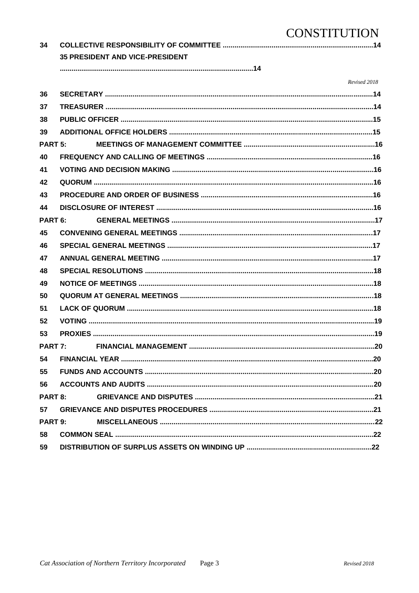#### $34$ **35 PRESIDENT AND VICE-PRESIDENT**

|                    | Revised 2018 |  |
|--------------------|--------------|--|
| 36                 |              |  |
| 37                 |              |  |
| 38                 |              |  |
| 39                 |              |  |
| PART <sub>5:</sub> |              |  |
| 40                 |              |  |
| 41                 |              |  |
| 42                 |              |  |
| 43                 |              |  |
| 44                 |              |  |
| PART <sub>6:</sub> |              |  |
| 45                 |              |  |
| 46                 |              |  |
| 47                 |              |  |
| 48                 |              |  |
| 49                 |              |  |
| 50                 |              |  |
| 51                 |              |  |
| 52                 |              |  |
| 53                 |              |  |
| PART 7:            |              |  |
| 54                 |              |  |
| 55                 |              |  |
| 56                 |              |  |
| <b>PART 8:</b>     |              |  |
| 57                 |              |  |
| PART 9:            |              |  |
| 58                 |              |  |
| 59                 |              |  |
|                    |              |  |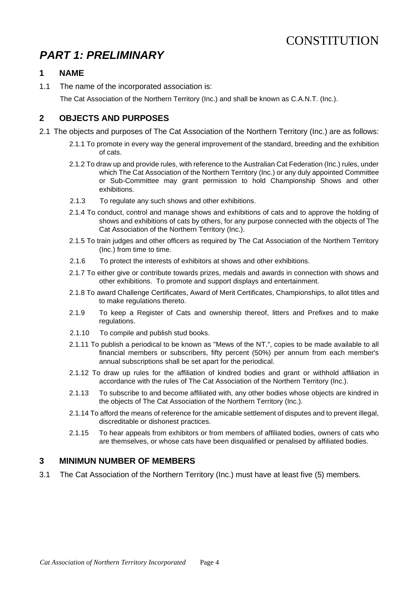# *PART 1: PRELIMINARY*

#### **1 NAME**

1.1 The name of the incorporated association is:

The Cat Association of the Northern Territory (Inc.) and shall be known as C.A.N.T. (Inc.).

## **2 OBJECTS AND PURPOSES**

- 2.1 The objects and purposes of The Cat Association of the Northern Territory (Inc.) are as follows:
	- 2.1.1 To promote in every way the general improvement of the standard, breeding and the exhibition of cats.
	- 2.1.2 To draw up and provide rules, with reference to the Australian Cat Federation (Inc.) rules, under which The Cat Association of the Northern Territory (Inc.) or any duly appointed Committee or Sub-Committee may grant permission to hold Championship Shows and other exhibitions.
	- 2.1.3 To regulate any such shows and other exhibitions.
	- 2.1.4 To conduct, control and manage shows and exhibitions of cats and to approve the holding of shows and exhibitions of cats by others, for any purpose connected with the objects of The Cat Association of the Northern Territory (Inc.).
	- 2.1.5 To train judges and other officers as required by The Cat Association of the Northern Territory (Inc.) from time to time.
	- 2.1.6 To protect the interests of exhibitors at shows and other exhibitions.
	- 2.1.7 To either give or contribute towards prizes, medals and awards in connection with shows and other exhibitions. To promote and support displays and entertainment.
	- 2.1.8 To award Challenge Certificates, Award of Merit Certificates, Championships, to allot titles and to make regulations thereto.
	- 2.1.9 To keep a Register of Cats and ownership thereof, litters and Prefixes and to make regulations.
	- 2.1.10 To compile and publish stud books.
	- 2.1.11 To publish a periodical to be known as "Mews of the NT.", copies to be made available to all financial members or subscribers, fifty percent (50%) per annum from each member's annual subscriptions shall be set apart for the periodical.
	- 2.1.12 To draw up rules for the affiliation of kindred bodies and grant or withhold affiliation in accordance with the rules of The Cat Association of the Northern Territory (Inc.).
	- 2.1.13 To subscribe to and become affiliated with, any other bodies whose objects are kindred in the objects of The Cat Association of the Northern Territory (Inc.).
	- 2.1.14 To afford the means of reference for the amicable settlement of disputes and to prevent illegal, discreditable or dishonest practices.
	- 2.1.15 To hear appeals from exhibitors or from members of affiliated bodies, owners of cats who are themselves, or whose cats have been disqualified or penalised by affiliated bodies.

#### **3 MINIMUN NUMBER OF MEMBERS**

3.1 The Cat Association of the Northern Territory (Inc.) must have at least five (5) members.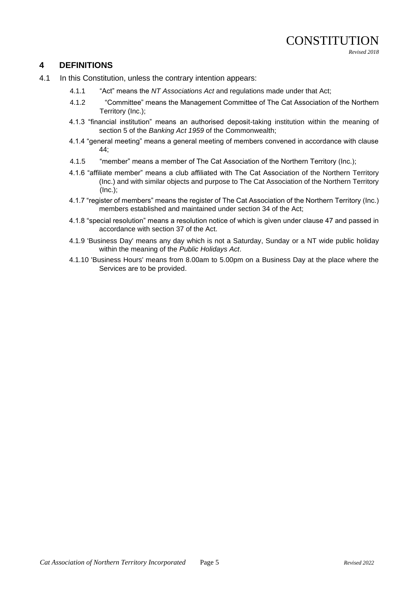# **4 DEFINITIONS**

- 4.1 In this Constitution, unless the contrary intention appears:
	- 4.1.1 "Act" means the *NT Associations Act* and regulations made under that Act;
	- 4.1.2 "Committee" means the Management Committee of The Cat Association of the Northern Territory (Inc.);
	- 4.1.3 "financial institution" means an authorised deposit-taking institution within the meaning of section 5 of the *Banking Act 1959* of the Commonwealth;
	- 4.1.4 "general meeting" means a general meeting of members convened in accordance with clause 44;
	- 4.1.5 "member" means a member of The Cat Association of the Northern Territory (Inc.);
	- 4.1.6 "affiliate member" means a club affiliated with The Cat Association of the Northern Territory (Inc.) and with similar objects and purpose to The Cat Association of the Northern Territory (Inc.);
	- 4.1.7 "register of members" means the register of The Cat Association of the Northern Territory (Inc.) members established and maintained under section 34 of the Act;
	- 4.1.8 "special resolution" means a resolution notice of which is given under clause 47 and passed in accordance with section 37 of the Act.
	- 4.1.9 'Business Day' means any day which is not a Saturday, Sunday or a NT wide public holiday within the meaning of the *Public Holidays Act*.
	- 4.1.10 'Business Hours' means from 8.00am to 5.00pm on a Business Day at the place where the Services are to be provided.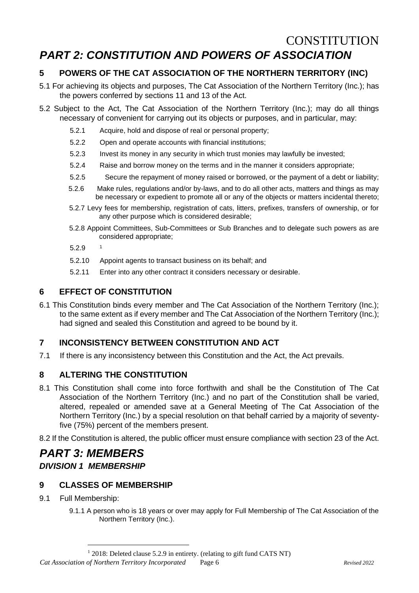# **CONSTITUTION** *PART 2: CONSTITUTION AND POWERS OF ASSOCIATION*

# **5 POWERS OF THE CAT ASSOCIATION OF THE NORTHERN TERRITORY (INC)**

- 5.1 For achieving its objects and purposes, The Cat Association of the Northern Territory (Inc.); has the powers conferred by sections 11 and 13 of the Act.
- 5.2 Subject to the Act, The Cat Association of the Northern Territory (Inc.); may do all things necessary of convenient for carrying out its objects or purposes, and in particular, may:
	- 5.2.1 Acquire, hold and dispose of real or personal property;
	- 5.2.2 Open and operate accounts with financial institutions;
	- 5.2.3 Invest its money in any security in which trust monies may lawfully be invested;
	- 5.2.4 Raise and borrow money on the terms and in the manner it considers appropriate;
	- 5.2.5 Secure the repayment of money raised or borrowed, or the payment of a debt or liability;
	- 5.2.6 Make rules, regulations and/or by-laws, and to do all other acts, matters and things as may be necessary or expedient to promote all or any of the objects or matters incidental thereto;
	- 5.2.7 Levy fees for membership, registration of cats, litters, prefixes, transfers of ownership, or for any other purpose which is considered desirable;
	- 5.2.8 Appoint Committees, Sub-Committees or Sub Branches and to delegate such powers as are considered appropriate;
	- 5.2.9
	- 5.2.10 Appoint agents to transact business on its behalf; and
	- 5.2.11 Enter into any other contract it considers necessary or desirable.

## **6 EFFECT OF CONSTITUTION**

6.1 This Constitution binds every member and The Cat Association of the Northern Territory (Inc.); to the same extent as if every member and The Cat Association of the Northern Territory (Inc.); had signed and sealed this Constitution and agreed to be bound by it.

### **7 INCONSISTENCY BETWEEN CONSTITUTION AND ACT**

7.1 If there is any inconsistency between this Constitution and the Act, the Act prevails.

# **8 ALTERING THE CONSTITUTION**

8.1 This Constitution shall come into force forthwith and shall be the Constitution of The Cat Association of the Northern Territory (Inc.) and no part of the Constitution shall be varied, altered, repealed or amended save at a General Meeting of The Cat Association of the Northern Territory (Inc.) by a special resolution on that behalf carried by a majority of seventyfive (75%) percent of the members present.

8.2 If the Constitution is altered, the public officer must ensure compliance with section 23 of the Act.

# *PART 3: MEMBERS DIVISION 1 MEMBERSHIP*

### **9 CLASSES OF MEMBERSHIP**

- 9.1 Full Membership:
	- 9.1.1 A person who is 18 years or over may apply for Full Membership of The Cat Association of the Northern Territory (Inc.).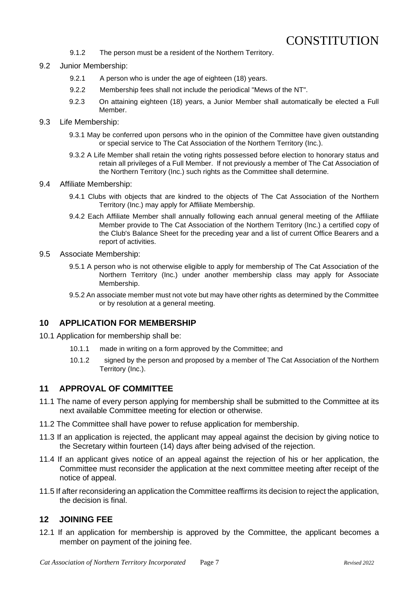- 9.1.2 The person must be a resident of the Northern Territory.
- 9.2 Junior Membership:
	- 9.2.1 A person who is under the age of eighteen (18) years.
	- 9.2.2 Membership fees shall not include the periodical "Mews of the NT".
	- 9.2.3 On attaining eighteen (18) years, a Junior Member shall automatically be elected a Full Member.
- 9.3 Life Membership:
	- 9.3.1 May be conferred upon persons who in the opinion of the Committee have given outstanding or special service to The Cat Association of the Northern Territory (Inc.).
	- 9.3.2 A Life Member shall retain the voting rights possessed before election to honorary status and retain all privileges of a Full Member. If not previously a member of The Cat Association of the Northern Territory (Inc.) such rights as the Committee shall determine.
- 9.4 Affiliate Membership:
	- 9.4.1 Clubs with objects that are kindred to the objects of The Cat Association of the Northern Territory (Inc.) may apply for Affiliate Membership.
	- 9.4.2 Each Affiliate Member shall annually following each annual general meeting of the Affiliate Member provide to The Cat Association of the Northern Territory (Inc.) a certified copy of the Club's Balance Sheet for the preceding year and a list of current Office Bearers and a report of activities.
- 9.5 Associate Membership:
	- 9.5.1 A person who is not otherwise eligible to apply for membership of The Cat Association of the Northern Territory (Inc.) under another membership class may apply for Associate Membership.
	- 9.5.2 An associate member must not vote but may have other rights as determined by the Committee or by resolution at a general meeting.

### **10 APPLICATION FOR MEMBERSHIP**

- 10.1 Application for membership shall be:
	- 10.1.1 made in writing on a form approved by the Committee; and
	- 10.1.2 signed by the person and proposed by a member of The Cat Association of the Northern Territory (Inc.).

### **11 APPROVAL OF COMMITTEE**

- 11.1 The name of every person applying for membership shall be submitted to the Committee at its next available Committee meeting for election or otherwise.
- 11.2 The Committee shall have power to refuse application for membership.
- 11.3 If an application is rejected, the applicant may appeal against the decision by giving notice to the Secretary within fourteen (14) days after being advised of the rejection.
- 11.4 If an applicant gives notice of an appeal against the rejection of his or her application, the Committee must reconsider the application at the next committee meeting after receipt of the notice of appeal.
- 11.5 If after reconsidering an application the Committee reaffirms its decision to reject the application, the decision is final.

### **12 JOINING FEE**

12.1 If an application for membership is approved by the Committee, the applicant becomes a member on payment of the joining fee.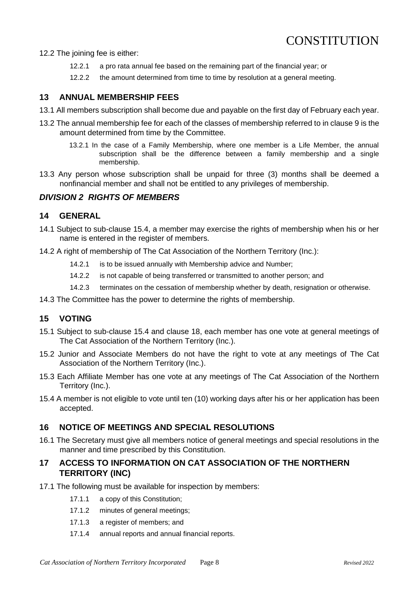12.2 The joining fee is either:

- 12.2.1 a pro rata annual fee based on the remaining part of the financial year; or
- 12.2.2 the amount determined from time to time by resolution at a general meeting.

#### **13 ANNUAL MEMBERSHIP FEES**

- 13.1 All members subscription shall become due and payable on the first day of February each year.
- 13.2 The annual membership fee for each of the classes of membership referred to in clause 9 is the amount determined from time by the Committee.
	- 13.2.1 In the case of a Family Membership, where one member is a Life Member, the annual subscription shall be the difference between a family membership and a single membership.
- 13.3 Any person whose subscription shall be unpaid for three (3) months shall be deemed a nonfinancial member and shall not be entitled to any privileges of membership.

## *DIVISION 2 RIGHTS OF MEMBERS*

#### **14 GENERAL**

- 14.1 Subject to sub-clause 15.4, a member may exercise the rights of membership when his or her name is entered in the register of members.
- 14.2 A right of membership of The Cat Association of the Northern Territory (Inc.):
	- 14.2.1 is to be issued annually with Membership advice and Number;
	- 14.2.2 is not capable of being transferred or transmitted to another person; and
	- 14.2.3 terminates on the cessation of membership whether by death, resignation or otherwise.
- 14.3 The Committee has the power to determine the rights of membership.

#### **15 VOTING**

- 15.1 Subject to sub-clause 15.4 and clause 18, each member has one vote at general meetings of The Cat Association of the Northern Territory (Inc.).
- 15.2 Junior and Associate Members do not have the right to vote at any meetings of The Cat Association of the Northern Territory (Inc.).
- 15.3 Each Affiliate Member has one vote at any meetings of The Cat Association of the Northern Territory (Inc.).
- 15.4 A member is not eligible to vote until ten (10) working days after his or her application has been accepted.

#### **16 NOTICE OF MEETINGS AND SPECIAL RESOLUTIONS**

16.1 The Secretary must give all members notice of general meetings and special resolutions in the manner and time prescribed by this Constitution.

### **17 ACCESS TO INFORMATION ON CAT ASSOCIATION OF THE NORTHERN TERRITORY (INC)**

- 17.1 The following must be available for inspection by members:
	- 17.1.1 a copy of this Constitution;
	- 17.1.2 minutes of general meetings;
	- 17.1.3 a register of members; and
	- 17.1.4 annual reports and annual financial reports.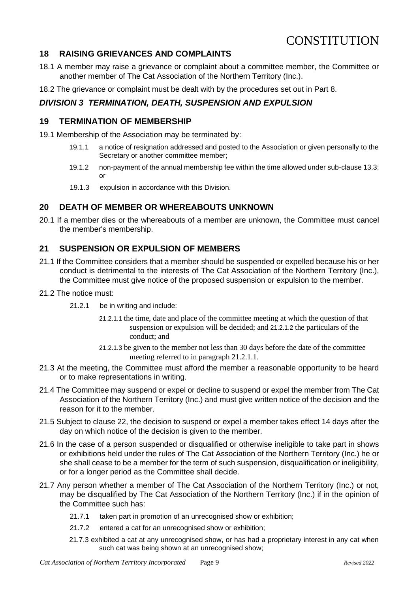### **18 RAISING GRIEVANCES AND COMPLAINTS**

- 18.1 A member may raise a grievance or complaint about a committee member, the Committee or another member of The Cat Association of the Northern Territory (Inc.).
- 18.2 The grievance or complaint must be dealt with by the procedures set out in Part 8.

## *DIVISION 3 TERMINATION, DEATH, SUSPENSION AND EXPULSION*

#### **19 TERMINATION OF MEMBERSHIP**

19.1 Membership of the Association may be terminated by:

- 19.1.1 a notice of resignation addressed and posted to the Association or given personally to the Secretary or another committee member;
- 19.1.2 non-payment of the annual membership fee within the time allowed under sub-clause 13.3; or
- 19.1.3 expulsion in accordance with this Division.

#### **20 DEATH OF MEMBER OR WHEREABOUTS UNKNOWN**

20.1 If a member dies or the whereabouts of a member are unknown, the Committee must cancel the member's membership.

#### **21 SUSPENSION OR EXPULSION OF MEMBERS**

- 21.1 If the Committee considers that a member should be suspended or expelled because his or her conduct is detrimental to the interests of The Cat Association of the Northern Territory (Inc.), the Committee must give notice of the proposed suspension or expulsion to the member.
- 21.2 The notice must:
	- 21.2.1 be in writing and include:
		- 21.2.1.1 the time, date and place of the committee meeting at which the question of that suspension or expulsion will be decided; and 21.2.1.2 the particulars of the conduct; and
		- 21.2.1.3 be given to the member not less than 30 days before the date of the committee meeting referred to in paragraph 21.2.1.1.
- 21.3 At the meeting, the Committee must afford the member a reasonable opportunity to be heard or to make representations in writing.
- 21.4 The Committee may suspend or expel or decline to suspend or expel the member from The Cat Association of the Northern Territory (Inc.) and must give written notice of the decision and the reason for it to the member.
- 21.5 Subject to clause 22, the decision to suspend or expel a member takes effect 14 days after the day on which notice of the decision is given to the member.
- 21.6 In the case of a person suspended or disqualified or otherwise ineligible to take part in shows or exhibitions held under the rules of The Cat Association of the Northern Territory (Inc.) he or she shall cease to be a member for the term of such suspension, disqualification or ineligibility, or for a longer period as the Committee shall decide.
- 21.7 Any person whether a member of The Cat Association of the Northern Territory (Inc.) or not, may be disqualified by The Cat Association of the Northern Territory (Inc.) if in the opinion of the Committee such has:
	- 21.7.1 taken part in promotion of an unrecognised show or exhibition:
	- 21.7.2 entered a cat for an unrecognised show or exhibition;
	- 21.7.3 exhibited a cat at any unrecognised show, or has had a proprietary interest in any cat when such cat was being shown at an unrecognised show;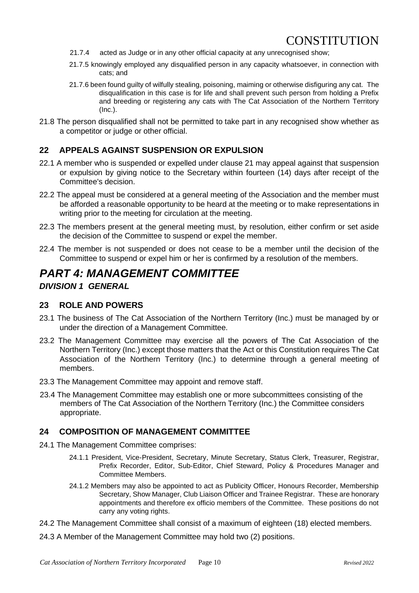- 21.7.4 acted as Judge or in any other official capacity at any unrecognised show;
- 21.7.5 knowingly employed any disqualified person in any capacity whatsoever, in connection with cats; and
- 21.7.6 been found guilty of wilfully stealing, poisoning, maiming or otherwise disfiguring any cat. The disqualification in this case is for life and shall prevent such person from holding a Prefix and breeding or registering any cats with The Cat Association of the Northern Territory (Inc.).
- 21.8 The person disqualified shall not be permitted to take part in any recognised show whether as a competitor or judge or other official.

### **22 APPEALS AGAINST SUSPENSION OR EXPULSION**

- 22.1 A member who is suspended or expelled under clause 21 may appeal against that suspension or expulsion by giving notice to the Secretary within fourteen (14) days after receipt of the Committee's decision.
- 22.2 The appeal must be considered at a general meeting of the Association and the member must be afforded a reasonable opportunity to be heard at the meeting or to make representations in writing prior to the meeting for circulation at the meeting.
- 22.3 The members present at the general meeting must, by resolution, either confirm or set aside the decision of the Committee to suspend or expel the member.
- 22.4 The member is not suspended or does not cease to be a member until the decision of the Committee to suspend or expel him or her is confirmed by a resolution of the members.

# *PART 4: MANAGEMENT COMMITTEE DIVISION 1 GENERAL*

# **23 ROLE AND POWERS**

- 23.1 The business of The Cat Association of the Northern Territory (Inc.) must be managed by or under the direction of a Management Committee.
- 23.2 The Management Committee may exercise all the powers of The Cat Association of the Northern Territory (Inc.) except those matters that the Act or this Constitution requires The Cat Association of the Northern Territory (Inc.) to determine through a general meeting of members.
- 23.3 The Management Committee may appoint and remove staff.
- 23.4 The Management Committee may establish one or more subcommittees consisting of the members of The Cat Association of the Northern Territory (Inc.) the Committee considers appropriate.

#### **24 COMPOSITION OF MANAGEMENT COMMITTEE**

- 24.1 The Management Committee comprises:
	- 24.1.1 President, Vice-President, Secretary, Minute Secretary, Status Clerk, Treasurer, Registrar, Prefix Recorder, Editor, Sub-Editor, Chief Steward, Policy & Procedures Manager and Committee Members.
	- 24.1.2 Members may also be appointed to act as Publicity Officer, Honours Recorder, Membership Secretary, Show Manager, Club Liaison Officer and Trainee Registrar. These are honorary appointments and therefore ex officio members of the Committee. These positions do not carry any voting rights.
- 24.2 The Management Committee shall consist of a maximum of eighteen (18) elected members.
- 24.3 A Member of the Management Committee may hold two (2) positions.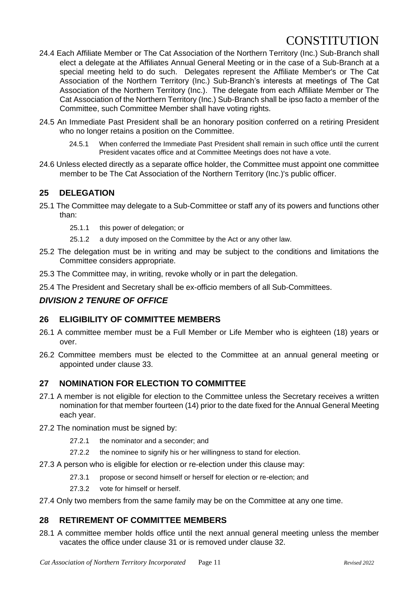- 24.4 Each Affiliate Member or The Cat Association of the Northern Territory (Inc.) Sub-Branch shall elect a delegate at the Affiliates Annual General Meeting or in the case of a Sub-Branch at a special meeting held to do such. Delegates represent the Affiliate Member's or The Cat Association of the Northern Territory (Inc.) Sub-Branch's interests at meetings of The Cat Association of the Northern Territory (Inc.). The delegate from each Affiliate Member or The Cat Association of the Northern Territory (Inc.) Sub-Branch shall be ipso facto a member of the Committee, such Committee Member shall have voting rights.
- 24.5 An Immediate Past President shall be an honorary position conferred on a retiring President who no longer retains a position on the Committee.
	- 24.5.1 When conferred the Immediate Past President shall remain in such office until the current President vacates office and at Committee Meetings does not have a vote.
- 24.6 Unless elected directly as a separate office holder, the Committee must appoint one committee member to be The Cat Association of the Northern Territory (Inc.)'s public officer.

# **25 DELEGATION**

- 25.1 The Committee may delegate to a Sub-Committee or staff any of its powers and functions other than:
	- 25.1.1 this power of delegation; or
	- 25.1.2 a duty imposed on the Committee by the Act or any other law.
- 25.2 The delegation must be in writing and may be subject to the conditions and limitations the Committee considers appropriate.
- 25.3 The Committee may, in writing, revoke wholly or in part the delegation.
- 25.4 The President and Secretary shall be ex-officio members of all Sub-Committees.

# *DIVISION 2 TENURE OF OFFICE*

### **26 ELIGIBILITY OF COMMITTEE MEMBERS**

- 26.1 A committee member must be a Full Member or Life Member who is eighteen (18) years or over.
- 26.2 Committee members must be elected to the Committee at an annual general meeting or appointed under clause 33.

# **27 NOMINATION FOR ELECTION TO COMMITTEE**

- 27.1 A member is not eligible for election to the Committee unless the Secretary receives a written nomination for that member fourteen (14) prior to the date fixed for the Annual General Meeting each year.
- 27.2 The nomination must be signed by:
	- 27.2.1 the nominator and a seconder; and
	- 27.2.2 the nominee to signify his or her willingness to stand for election.
- 27.3 A person who is eligible for election or re-election under this clause may:
	- 27.3.1 propose or second himself or herself for election or re-election; and
	- 27.3.2 vote for himself or herself.
- 27.4 Only two members from the same family may be on the Committee at any one time.

### **28 RETIREMENT OF COMMITTEE MEMBERS**

28.1 A committee member holds office until the next annual general meeting unless the member vacates the office under clause 31 or is removed under clause 32.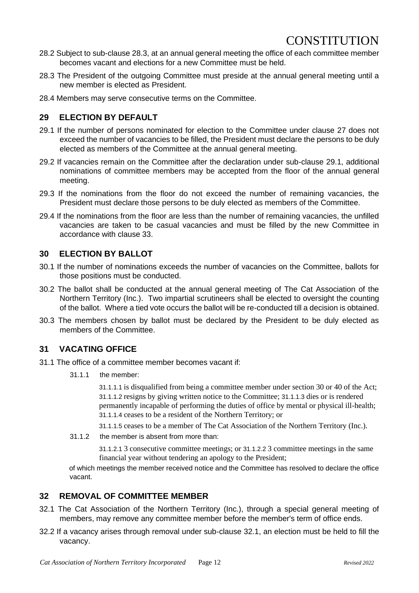- 28.2 Subject to sub-clause 28.3, at an annual general meeting the office of each committee member becomes vacant and elections for a new Committee must be held.
- 28.3 The President of the outgoing Committee must preside at the annual general meeting until a new member is elected as President.
- 28.4 Members may serve consecutive terms on the Committee.

## **29 ELECTION BY DEFAULT**

- 29.1 If the number of persons nominated for election to the Committee under clause 27 does not exceed the number of vacancies to be filled, the President must declare the persons to be duly elected as members of the Committee at the annual general meeting.
- 29.2 If vacancies remain on the Committee after the declaration under sub-clause 29.1, additional nominations of committee members may be accepted from the floor of the annual general meeting.
- 29.3 If the nominations from the floor do not exceed the number of remaining vacancies, the President must declare those persons to be duly elected as members of the Committee.
- 29.4 If the nominations from the floor are less than the number of remaining vacancies, the unfilled vacancies are taken to be casual vacancies and must be filled by the new Committee in accordance with clause 33.

## **30 ELECTION BY BALLOT**

- 30.1 If the number of nominations exceeds the number of vacancies on the Committee, ballots for those positions must be conducted.
- 30.2 The ballot shall be conducted at the annual general meeting of The Cat Association of the Northern Territory (Inc.). Two impartial scrutineers shall be elected to oversight the counting of the ballot. Where a tied vote occurs the ballot will be re-conducted till a decision is obtained.
- 30.3 The members chosen by ballot must be declared by the President to be duly elected as members of the Committee.

### **31 VACATING OFFICE**

- 31.1 The office of a committee member becomes vacant if:
	- 31.1.1 the member:

31.1.1.1 is disqualified from being a committee member under section 30 or 40 of the Act; 31.1.1.2 resigns by giving written notice to the Committee; 31.1.1.3 dies or is rendered permanently incapable of performing the duties of office by mental or physical ill-health; 31.1.1.4 ceases to be a resident of the Northern Territory; or

31.1.1.5 ceases to be a member of The Cat Association of the Northern Territory (Inc.).

31.1.2 the member is absent from more than:

31.1.2.1 3 consecutive committee meetings; or 31.1.2.2 3 committee meetings in the same financial year without tendering an apology to the President;

of which meetings the member received notice and the Committee has resolved to declare the office vacant.

### **32 REMOVAL OF COMMITTEE MEMBER**

- 32.1 The Cat Association of the Northern Territory (Inc.), through a special general meeting of members, may remove any committee member before the member's term of office ends.
- 32.2 If a vacancy arises through removal under sub-clause 32.1, an election must be held to fill the vacancy.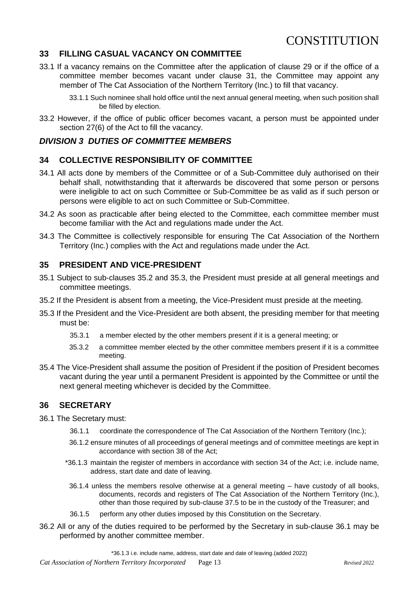## **33 FILLING CASUAL VACANCY ON COMMITTEE**

33.1 If a vacancy remains on the Committee after the application of clause 29 or if the office of a committee member becomes vacant under clause 31, the Committee may appoint any member of The Cat Association of the Northern Territory (Inc.) to fill that vacancy.

33.1.1 Such nominee shall hold office until the next annual general meeting, when such position shall be filled by election.

33.2 However, if the office of public officer becomes vacant, a person must be appointed under section 27(6) of the Act to fill the vacancy.

#### *DIVISION 3 DUTIES OF COMMITTEE MEMBERS*

#### **34 COLLECTIVE RESPONSIBILITY OF COMMITTEE**

- 34.1 All acts done by members of the Committee or of a Sub-Committee duly authorised on their behalf shall, notwithstanding that it afterwards be discovered that some person or persons were ineligible to act on such Committee or Sub-Committee be as valid as if such person or persons were eligible to act on such Committee or Sub-Committee.
- 34.2 As soon as practicable after being elected to the Committee, each committee member must become familiar with the Act and regulations made under the Act.
- 34.3 The Committee is collectively responsible for ensuring The Cat Association of the Northern Territory (Inc.) complies with the Act and regulations made under the Act.

#### **35 PRESIDENT AND VICE-PRESIDENT**

- 35.1 Subject to sub-clauses 35.2 and 35.3, the President must preside at all general meetings and committee meetings.
- 35.2 If the President is absent from a meeting, the Vice-President must preside at the meeting.
- 35.3 If the President and the Vice-President are both absent, the presiding member for that meeting must be:
	- 35.3.1 a member elected by the other members present if it is a general meeting; or
	- 35.3.2 a committee member elected by the other committee members present if it is a committee meeting.
- 35.4 The Vice-President shall assume the position of President if the position of President becomes vacant during the year until a permanent President is appointed by the Committee or until the next general meeting whichever is decided by the Committee.

### **36 SECRETARY**

- 36.1 The Secretary must:
	- 36.1.1 coordinate the correspondence of The Cat Association of the Northern Territory (Inc.);
	- 36.1.2 ensure minutes of all proceedings of general meetings and of committee meetings are kept in accordance with section 38 of the Act;
	- \*36.1.3 maintain the register of members in accordance with section 34 of the Act; i.e. include name, address, start date and date of leaving.
	- 36.1.4 unless the members resolve otherwise at a general meeting have custody of all books, documents, records and registers of The Cat Association of the Northern Territory (Inc.), other than those required by sub-clause 37.5 to be in the custody of the Treasurer; and
	- 36.1.5 perform any other duties imposed by this Constitution on the Secretary.
- 36.2 All or any of the duties required to be performed by the Secretary in sub-clause 36.1 may be performed by another committee member.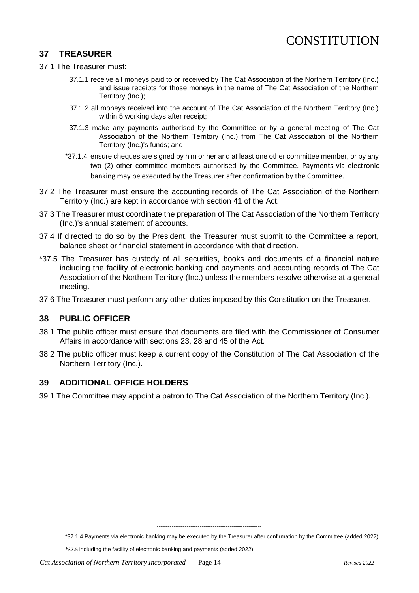## **37 TREASURER**

#### 37.1 The Treasurer must:

- 37.1.1 receive all moneys paid to or received by The Cat Association of the Northern Territory (Inc.) and issue receipts for those moneys in the name of The Cat Association of the Northern Territory (Inc.);
- 37.1.2 all moneys received into the account of The Cat Association of the Northern Territory (Inc.) within 5 working days after receipt;
- 37.1.3 make any payments authorised by the Committee or by a general meeting of The Cat Association of the Northern Territory (Inc.) from The Cat Association of the Northern Territory (Inc.)'s funds; and
- \*37.1.4 ensure cheques are signed by him or her and at least one other committee member, or by any two (2) other committee members authorised by the Committee. Payments via electronic banking may be executed by the Treasurer after confirmation by the Committee.
- 37.2 The Treasurer must ensure the accounting records of The Cat Association of the Northern Territory (Inc.) are kept in accordance with section 41 of the Act.
- 37.3 The Treasurer must coordinate the preparation of The Cat Association of the Northern Territory (Inc.)'s annual statement of accounts.
- 37.4 If directed to do so by the President, the Treasurer must submit to the Committee a report, balance sheet or financial statement in accordance with that direction.
- \*37.5 The Treasurer has custody of all securities, books and documents of a financial nature including the facility of electronic banking and payments and accounting records of The Cat Association of the Northern Territory (Inc.) unless the members resolve otherwise at a general meeting.
- 37.6 The Treasurer must perform any other duties imposed by this Constitution on the Treasurer.

#### **38 PUBLIC OFFICER**

- 38.1 The public officer must ensure that documents are filed with the Commissioner of Consumer Affairs in accordance with sections 23, 28 and 45 of the Act.
- 38.2 The public officer must keep a current copy of the Constitution of The Cat Association of the Northern Territory (Inc.).

#### **39 ADDITIONAL OFFICE HOLDERS**

39.1 The Committee may appoint a patron to The Cat Association of the Northern Territory (Inc.).

--------------------------------------------------------

\*37.1.4 Payments via electronic banking may be executed by the Treasurer after confirmation by the Committee.(added 2022)

\*37.5 including the facility of electronic banking and payments (added 2022)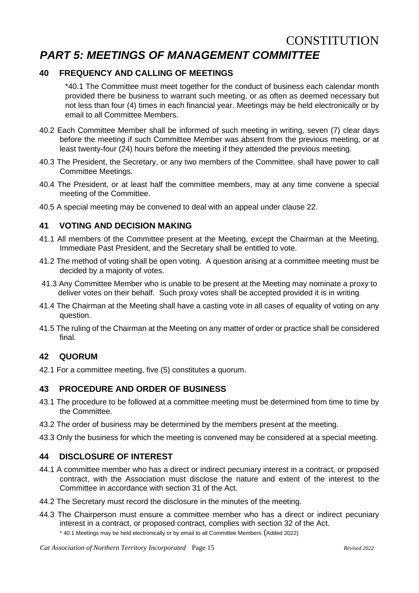# **CONSTITUTION** *PART 5: MEETINGS OF MANAGEMENT COMMITTEE*

### **40 FREQUENCY AND CALLING OF MEETINGS**

\*40.1 The Committee must meet together for the conduct of business each calendar month provided there be business to warrant such meeting, or as often as deemed necessary but not less than four (4) times in each financial year. Meetings may be held electronically or by email to all Committee Members.

- 40.2 Each Committee Member shall be informed of such meeting in writing, seven (7) clear days before the meeting if such Committee Member was absent from the previous meeting, or at least twenty-four (24) hours before the meeting if they attended the previous meeting.
- 40.3 The President, the Secretary, or any two members of the Committee, shall have power to call Committee Meetings.
- 40.4 The President, or at least half the committee members, may at any time convene a special meeting of the Committee.
- 40.5 A special meeting may be convened to deal with an appeal under clause 22.

#### **41 VOTING AND DECISION MAKING**

- 41.1 All members of the Committee present at the Meeting, except the Chairman at the Meeting, Immediate Past President, and the Secretary shall be entitled to vote.
- 41.2 The method of voting shall be open voting. A question arising at a committee meeting must be decided by a majority of votes.
- 41.3 Any Committee Member who is unable to be present at the Meeting may nominate a proxy to deliver votes on their behalf. Such proxy votes shall be accepted provided it is in writing*.*
- 41.4 The Chairman at the Meeting shall have a casting vote in all cases of equality of voting on any question.
- 41.5 The ruling of the Chairman at the Meeting on any matter of order or practice shall be considered final.

### **42 QUORUM**

42.1 For a committee meeting, five (5) constitutes a quorum.

### **43 PROCEDURE AND ORDER OF BUSINESS**

- 43.1 The procedure to be followed at a committee meeting must be determined from time to time by the Committee.
- 43.2 The order of business may be determined by the members present at the meeting.
- 43.3 Only the business for which the meeting is convened may be considered at a special meeting.

### **44 DISCLOSURE OF INTEREST**

- 44.1 A committee member who has a direct or indirect pecuniary interest in a contract, or proposed contract, with the Association must disclose the nature and extent of the interest to the Committee in accordance with section 31 of the Act.
- 44.2 The Secretary must record the disclosure in the minutes of the meeting.
- 44.3 The Chairperson must ensure a committee member who has a direct or indirect pecuniary interest in a contract, or proposed contract, complies with section 32 of the Act.
	- \* 40.1 Meetings may be held electronically or by email to all Committee Members (Added 2022)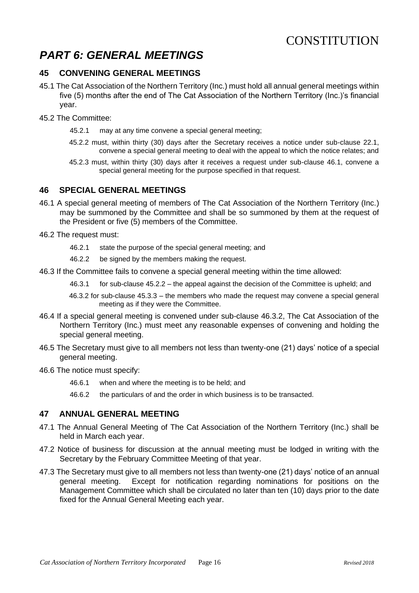# *PART 6: GENERAL MEETINGS*

## **45 CONVENING GENERAL MEETINGS**

45.1 The Cat Association of the Northern Territory (Inc.) must hold all annual general meetings within five (5) months after the end of The Cat Association of the Northern Territory (Inc.)'s financial year.

#### 45.2 The Committee:

- 45.2.1 may at any time convene a special general meeting;
- 45.2.2 must, within thirty (30) days after the Secretary receives a notice under sub-clause 22.1, convene a special general meeting to deal with the appeal to which the notice relates; and
- 45.2.3 must, within thirty (30) days after it receives a request under sub-clause 46.1, convene a special general meeting for the purpose specified in that request.

#### **46 SPECIAL GENERAL MEETINGS**

- 46.1 A special general meeting of members of The Cat Association of the Northern Territory (Inc.) may be summoned by the Committee and shall be so summoned by them at the request of the President or five (5) members of the Committee.
- 46.2 The request must:
	- 46.2.1 state the purpose of the special general meeting; and
	- 46.2.2 be signed by the members making the request.
- 46.3 If the Committee fails to convene a special general meeting within the time allowed:
	- 46.3.1 for sub-clause 45.2.2 the appeal against the decision of the Committee is upheld; and
	- 46.3.2 for sub-clause 45.3.3 the members who made the request may convene a special general meeting as if they were the Committee.
- 46.4 If a special general meeting is convened under sub-clause 46.3.2, The Cat Association of the Northern Territory (Inc.) must meet any reasonable expenses of convening and holding the special general meeting.
- 46.5 The Secretary must give to all members not less than twenty-one (21) days' notice of a special general meeting.
- 46.6 The notice must specify:
	- 46.6.1 when and where the meeting is to be held; and
	- 46.6.2 the particulars of and the order in which business is to be transacted.

#### **47 ANNUAL GENERAL MEETING**

- 47.1 The Annual General Meeting of The Cat Association of the Northern Territory (Inc.) shall be held in March each year.
- 47.2 Notice of business for discussion at the annual meeting must be lodged in writing with the Secretary by the February Committee Meeting of that year.
- 47.3 The Secretary must give to all members not less than twenty-one (21) days' notice of an annual general meeting. Except for notification regarding nominations for positions on the Management Committee which shall be circulated no later than ten (10) days prior to the date fixed for the Annual General Meeting each year.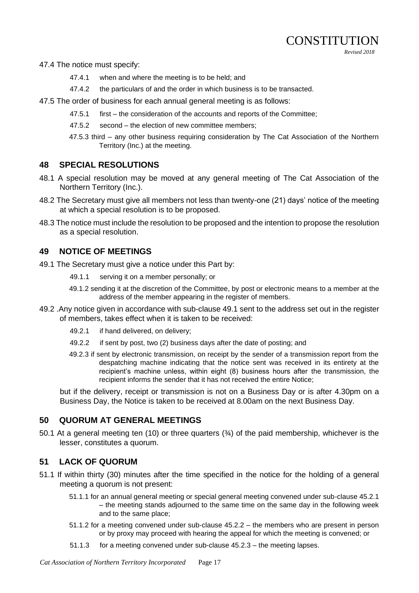47.4 The notice must specify:

- 47.4.1 when and where the meeting is to be held; and
- 47.4.2 the particulars of and the order in which business is to be transacted.
- 47.5 The order of business for each annual general meeting is as follows:
	- 47.5.1 first the consideration of the accounts and reports of the Committee;
	- 47.5.2 second the election of new committee members;
	- 47.5.3 third any other business requiring consideration by The Cat Association of the Northern Territory (Inc.) at the meeting.

**CONSTITUTION** 

*Revised 2018*

#### **48 SPECIAL RESOLUTIONS**

- 48.1 A special resolution may be moved at any general meeting of The Cat Association of the Northern Territory (Inc.).
- 48.2 The Secretary must give all members not less than twenty-one (21) days' notice of the meeting at which a special resolution is to be proposed.
- 48.3 The notice must include the resolution to be proposed and the intention to propose the resolution as a special resolution.

### **49 NOTICE OF MEETINGS**

- 49.1 The Secretary must give a notice under this Part by:
	- 49.1.1 serving it on a member personally; or
	- 49.1.2 sending it at the discretion of the Committee, by post or electronic means to a member at the address of the member appearing in the register of members.
- 49.2 .Any notice given in accordance with sub-clause 49.1 sent to the address set out in the register of members, takes effect when it is taken to be received:
	- 49.2.1 if hand delivered, on delivery;
	- 49.2.2 if sent by post, two (2) business days after the date of posting; and
	- 49.2.3 if sent by electronic transmission, on receipt by the sender of a transmission report from the despatching machine indicating that the notice sent was received in its entirety at the recipient's machine unless, within eight (8) business hours after the transmission, the recipient informs the sender that it has not received the entire Notice;

but if the delivery, receipt or transmission is not on a Business Day or is after 4.30pm on a Business Day, the Notice is taken to be received at 8.00am on the next Business Day.

## **50 QUORUM AT GENERAL MEETINGS**

50.1 At a general meeting ten (10) or three quarters  $(3/4)$  of the paid membership, whichever is the lesser, constitutes a quorum.

# **51 LACK OF QUORUM**

- 51.1 If within thirty (30) minutes after the time specified in the notice for the holding of a general meeting a quorum is not present:
	- 51.1.1 for an annual general meeting or special general meeting convened under sub-clause 45.2.1 – the meeting stands adjourned to the same time on the same day in the following week and to the same place;
	- 51.1.2 for a meeting convened under sub-clause 45.2.2 the members who are present in person or by proxy may proceed with hearing the appeal for which the meeting is convened; or
	- 51.1.3 for a meeting convened under sub-clause 45.2.3 the meeting lapses.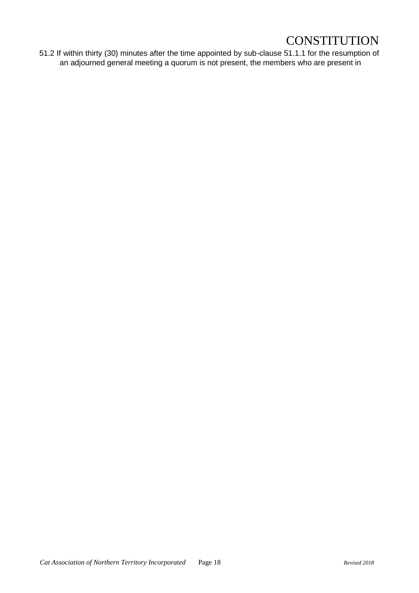51.2 If within thirty (30) minutes after the time appointed by sub-clause 51.1.1 for the resumption of an adjourned general meeting a quorum is not present, the members who are present in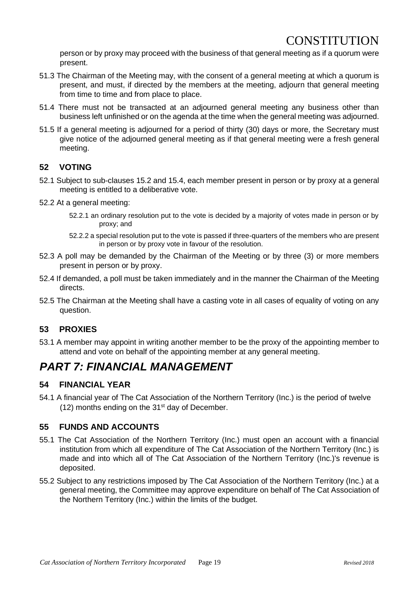person or by proxy may proceed with the business of that general meeting as if a quorum were present.

- 51.3 The Chairman of the Meeting may, with the consent of a general meeting at which a quorum is present, and must, if directed by the members at the meeting, adjourn that general meeting from time to time and from place to place.
- 51.4 There must not be transacted at an adjourned general meeting any business other than business left unfinished or on the agenda at the time when the general meeting was adjourned.
- 51.5 If a general meeting is adjourned for a period of thirty (30) days or more, the Secretary must give notice of the adjourned general meeting as if that general meeting were a fresh general meeting.

## **52 VOTING**

- 52.1 Subject to sub-clauses 15.2 and 15.4, each member present in person or by proxy at a general meeting is entitled to a deliberative vote.
- 52.2 At a general meeting:
	- 52.2.1 an ordinary resolution put to the vote is decided by a majority of votes made in person or by proxy; and
	- 52.2.2 a special resolution put to the vote is passed if three-quarters of the members who are present in person or by proxy vote in favour of the resolution.
- 52.3 A poll may be demanded by the Chairman of the Meeting or by three (3) or more members present in person or by proxy.
- 52.4 If demanded, a poll must be taken immediately and in the manner the Chairman of the Meeting directs.
- 52.5 The Chairman at the Meeting shall have a casting vote in all cases of equality of voting on any question.

## **53 PROXIES**

53.1 A member may appoint in writing another member to be the proxy of the appointing member to attend and vote on behalf of the appointing member at any general meeting.

# *PART 7: FINANCIAL MANAGEMENT*

### **54 FINANCIAL YEAR**

54.1 A financial year of The Cat Association of the Northern Territory (Inc.) is the period of twelve  $(12)$  months ending on the 31<sup>st</sup> day of December.

### **55 FUNDS AND ACCOUNTS**

- 55.1 The Cat Association of the Northern Territory (Inc.) must open an account with a financial institution from which all expenditure of The Cat Association of the Northern Territory (Inc.) is made and into which all of The Cat Association of the Northern Territory (Inc.)'s revenue is deposited.
- 55.2 Subject to any restrictions imposed by The Cat Association of the Northern Territory (Inc.) at a general meeting, the Committee may approve expenditure on behalf of The Cat Association of the Northern Territory (Inc.) within the limits of the budget.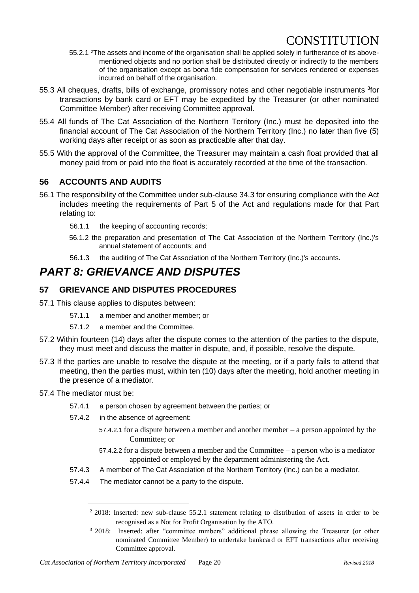- 55.2.1 2The assets and income of the organisation shall be applied solely in furtherance of its abovementioned objects and no portion shall be distributed directly or indirectly to the members of the organisation except as bona fide compensation for services rendered or expenses incurred on behalf of the organisation.
- 55.3 All cheques, drafts, bills of exchange, promissory notes and other negotiable instruments <sup>3</sup>for transactions by bank card or EFT may be expedited by the Treasurer (or other nominated Committee Member) after receiving Committee approval.
- 55.4 All funds of The Cat Association of the Northern Territory (Inc.) must be deposited into the financial account of The Cat Association of the Northern Territory (Inc.) no later than five (5) working days after receipt or as soon as practicable after that day.
- 55.5 With the approval of the Committee, the Treasurer may maintain a cash float provided that all money paid from or paid into the float is accurately recorded at the time of the transaction.

## **56 ACCOUNTS AND AUDITS**

- 56.1 The responsibility of the Committee under sub-clause 34.3 for ensuring compliance with the Act includes meeting the requirements of Part 5 of the Act and regulations made for that Part relating to:
	- 56.1.1 the keeping of accounting records;
	- 56.1.2 the preparation and presentation of The Cat Association of the Northern Territory (Inc.)'s annual statement of accounts; and
	- 56.1.3 the auditing of The Cat Association of the Northern Territory (Inc.)'s accounts.

# *PART 8: GRIEVANCE AND DISPUTES*

## **57 GRIEVANCE AND DISPUTES PROCEDURES**

- 57.1 This clause applies to disputes between:
	- 57.1.1 a member and another member; or
	- 57.1.2 a member and the Committee.
- 57.2 Within fourteen (14) days after the dispute comes to the attention of the parties to the dispute, they must meet and discuss the matter in dispute, and, if possible, resolve the dispute.
- 57.3 If the parties are unable to resolve the dispute at the meeting, or if a party fails to attend that meeting, then the parties must, within ten (10) days after the meeting, hold another meeting in the presence of a mediator.
- 57.4 The mediator must be:
	- 57.4.1 a person chosen by agreement between the parties; or
	- 57.4.2 in the absence of agreement:
		- 57.4.2.1 for a dispute between a member and another member a person appointed by the Committee; or
		- 57.4.2.2 for a dispute between a member and the Committee a person who is a mediator appointed or employed by the department administering the Act.
	- 57.4.3 A member of The Cat Association of the Northern Territory (Inc.) can be a mediator.
	- 57.4.4 The mediator cannot be a party to the dispute.

<sup>&</sup>lt;sup>2</sup> 2018: Inserted: new sub-clause 55.2.1 statement relating to distribution of assets in crder to be recognised as a Not for Profit Organisation by the ATO.

<sup>&</sup>lt;sup>3</sup> 2018: Inserted: after "committee mmbers" additional phrase allowing the Treasurer (or other nominated Committee Member) to undertake bankcard or EFT transactions after receiving Committee approval.